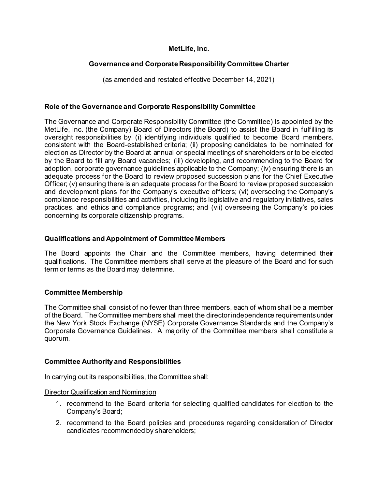# **MetLife, Inc.**

# **Governance and Corporate Responsibility Committee Charter**

(as amended and restated effective December 14, 2021)

## **Role of the Governance and Corporate Responsibility Committee**

The Governance and Corporate Responsibility Committee (the Committee) is appointed by the MetLife, Inc. (the Company) Board of Directors (the Board) to assist the Board in fulfilling its oversight responsibilities by (i) identifying individuals qualified to become Board members, consistent with the Board-established criteria; (ii) proposing candidates to be nominated for election as Director by the Board at annual or special meetings of shareholders or to be elected by the Board to fill any Board vacancies; (iii) developing, and recommending to the Board for adoption, corporate governance guidelines applicable to the Company; (iv) ensuring there is an adequate process for the Board to review proposed succession plans for the Chief Executive Officer; (v) ensuring there is an adequate process for the Board to review proposed succession and development plans for the Company's executive officers; (vi) overseeing the Company's compliance responsibilities and activities, including its legislative and regulatory initiatives, sales practices, and ethics and compliance programs; and (vii) overseeing the Company's policies concerning its corporate citizenship programs.

#### **Qualifications and Appointment of Committee Members**

The Board appoints the Chair and the Committee members, having determined their qualifications. The Committee members shall serve at the pleasure of the Board and for such term or terms as the Board may determine.

#### **Committee Membership**

The Committee shall consist of no fewer than three members, each of whom shall be a member of the Board. The Committee members shall meet the director independence requirements under the New York Stock Exchange (NYSE) Corporate Governance Standards and the Company's Corporate Governance Guidelines. A majority of the Committee members shall constitute a quorum.

#### **Committee Authority and Responsibilities**

In carrying out its responsibilities, the Committee shall:

Director Qualification and Nomination

- 1. recommend to the Board criteria for selecting qualified candidates for election to the Company's Board;
- 2. recommend to the Board policies and procedures regarding consideration of Director candidates recommended by shareholders;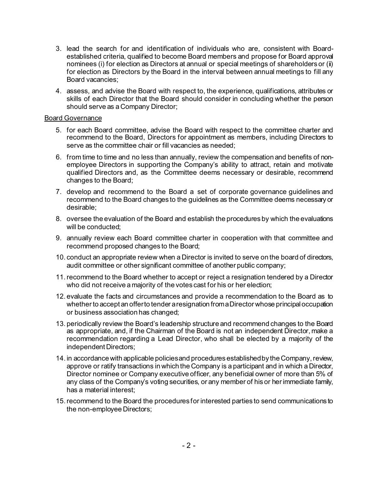- 3. lead the search for and identification of individuals who are, consistent with Boardestablished criteria, qualified to become Board members and propose for Board approval nominees (i) for election as Directors at annual or special meetings of shareholders or (ii) for election as Directors by the Board in the interval between annual meetings to fill any Board vacancies;
- 4. assess, and advise the Board with respect to, the experience, qualifications, attributes or skills of each Director that the Board should consider in concluding whether the person should serve as a Company Director;

#### Board Governance

- 5. for each Board committee, advise the Board with respect to the committee charter and recommend to the Board, Directors for appointment as members, including Directors to serve as the committee chair or fill vacancies as needed;
- 6. from time to time and no less than annually, review the compensation and benefits of nonemployee Directors in supporting the Company's ability to attract, retain and motivate qualified Directors and, as the Committee deems necessary or desirable, recommend changes to the Board;
- 7. develop and recommend to the Board a set of corporate governance guidelines and recommend to the Board changes to the guidelines as the Committee deems necessary or desirable;
- 8. oversee the evaluation of the Board and establish the procedures by which the evaluations will be conducted;
- 9. annually review each Board committee charter in cooperation with that committee and recommend proposed changes to the Board;
- 10. conduct an appropriate review when a Director is invited to serve on the board of directors, audit committee or other significant committee of another public company;
- 11.recommend to the Board whether to accept or reject a resignation tendered by a Director who did not receive a majority of the votes cast for his or her election;
- 12. evaluate the facts and circumstances and provide a recommendation to the Board as to whether to accept an offer to tender a resignation from a Director whose principal occupation or business association has changed;
- 13. periodically review the Board's leadership structure and recommend changes to the Board as appropriate, and, if the Chairman of the Board is not an independent Director, make a recommendation regarding a Lead Director, who shall be elected by a majority of the independent Directors;
- 14. in accordance with applicable policies and procedures established by the Company, review, approve or ratify transactions in which the Company is a participant and in which a Director, Director nominee or Company executive officer, any beneficial owner of more than 5% of any class of the Company's voting securities, or any member of his or her immediate family, has a material interest;
- 15.recommend to the Board the procedures for interested parties to send communications to the non-employee Directors;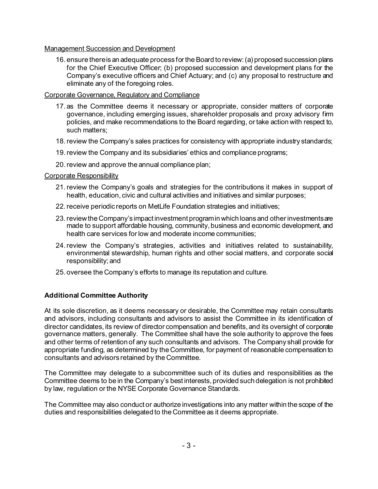## Management Succession and Development

16. ensure there is an adequate process for the Board to review: (a) proposed succession plans for the Chief Executive Officer; (b) proposed succession and development plans for the Company's executive officers and Chief Actuary; and (c) any proposal to restructure and eliminate any of the foregoing roles.

# Corporate Governance, Regulatory and Compliance

- 17. as the Committee deems it necessary or appropriate, consider matters of corporate governance, including emerging issues, shareholder proposals and proxy advisory firm policies, and make recommendations to the Board regarding, or take action with respect to, such matters;
- 18.review the Company's sales practices for consistency with appropriate industry standards;
- 19.review the Company and its subsidiaries' ethics and compliance programs;
- 20.review and approve the annual compliance plan;

# Corporate Responsibility

- 21.review the Company's goals and strategies for the contributions it makes in support of health, education, civic and cultural activities and initiatives and similar purposes;
- 22.receive periodic reports on MetLife Foundation strategies and initiatives;
- 23.review the Company's impact investment program in which loans and other investments are made to support affordable housing, community, business and economic development, and health care services for low and moderate income communities;
- 24.review the Company's strategies, activities and initiatives related to sustainability, environmental stewardship, human rights and other social matters, and corporate social responsibility; and
- 25. oversee the Company's efforts to manage its reputation and culture.

# **Additional Committee Authority**

At its sole discretion, as it deems necessary or desirable, the Committee may retain consultants and advisors, including consultants and advisors to assist the Committee in its identification of director candidates, its review of director compensation and benefits, and its oversight of corporate governance matters, generally. The Committee shall have the sole authority to approve the fees and other terms of retention of any such consultants and advisors. The Company shall provide for appropriate funding, as determined by the Committee, for payment of reasonable compensation to consultants and advisors retained by the Committee.

The Committee may delegate to a subcommittee such of its duties and responsibilities as the Committee deems to be in the Company's best interests, provided such delegation is not prohibited by law, regulation or the NYSE Corporate Governance Standards.

The Committee may also conduct or authorize investigations into any matter within the scope of the duties and responsibilities delegated to the Committee as it deems appropriate.